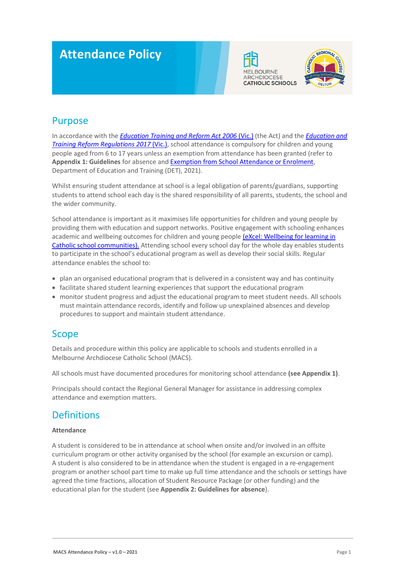# **Attendance Policy**





### Purpose

In accordance with the *[Education Training and Reform Act 2006](https://www.macs.vic.edu.au/CatholicEducationMelbourne/media/Documentation/Documents/eXcel-Wellbeing-for-learning_Guide_May-2018_CEM.pdf)* (Vic.) (the Act) and the *[Education and](https://www.education.vic.gov.au/about/department/legislation/Pages/act2006regs.aspx)  [Training Reform Regulations 2017](https://www.education.vic.gov.au/about/department/legislation/Pages/act2006regs.aspx)* (Vic.), school attendance is compulsory for children and young people aged from 6 to 17 years unless an exemption from attendance has been granted (refer to **Appendix 1: Guidelines** for absence an[d Exemption from School Attendance or Enrolment,](https://www2.education.vic.gov.au/pal/exemption-school-attendance-and-enrolment/policy) Department of Education and Training (DET), 2021).

Whilst ensuring student attendance at school is a legal obligation of parents/guardians, supporting students to attend school each day is the shared responsibility of all parents, students, the school and the wider community.

School attendance is important as it maximises life opportunities for children and young people by providing them with education and support networks. Positive engagement with schooling enhances academic and wellbeing outcomes for children and young people (eXcel: Wellbeing for learning in [Catholic school communities\).](https://www.macs.vic.edu.au/CatholicEducationMelbourne/media/Documentation/Documents/eXcel-Wellbeing-for-learning_Guide_May-2018_CEM.pdf) Attending school every school day for the whole day enables students to participate in the school's educational program as well as develop their social skills. Regular attendance enables the school to:

- plan an organised educational program that is delivered in a consistent way and has continuity
- facilitate shared student learning experiences that support the educational program
- monitor student progress and adjust the educational program to meet student needs. All schools must maintain attendance records, identify and follow up unexplained absences and develop procedures to support and maintain student attendance.

### Scope

Details and procedure within this policy are applicable to schools and students enrolled in a Melbourne Archdiocese Catholic School (MACS).

All schools must have documented procedures for monitoring school attendance **(see Appendix 1)**.

Principals should contact the Regional General Manager for assistance in addressing complex attendance and exemption matters.

### Definitions

#### **Attendance**

A student is considered to be in attendance at school when onsite and/or involved in an offsite curriculum program or other activity organised by the school (for example an excursion or camp). A student is also considered to be in attendance when the student is engaged in a re-engagement program or another school part time to make up full time attendance and the schools or settings have agreed the time fractions, allocation of Student Resource Package (or other funding) and the educational plan for the student (see **Appendix 2: Guidelines for absence**).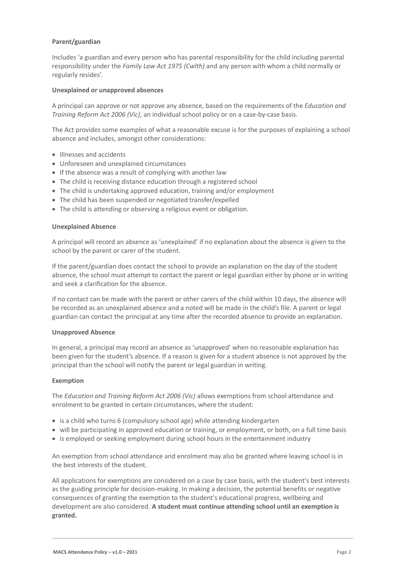#### **Parent/guardian**

Includes 'a guardian and every person who has parental responsibility for the child including parental responsibility under the *Family Law Act 1975 (Cwlth)* and any person with whom a child normally or regularly resides'.

#### **Unexplained or unapproved absences**

A principal can approve or not approve any absence, based on the requirements of the *Education and Training Reform Act 2006 (Vic)*, an individual school policy or on a case-by-case basis.

The Act provides some examples of what a reasonable excuse is for the purposes of explaining a school absence and includes, amongst other considerations:

- Illnesses and accidents
- Unforeseen and unexplained circumstances
- If the absence was a result of complying with another law
- The child is receiving distance education through a registered school
- The child is undertaking approved education, training and/or employment
- The child has been suspended or negotiated transfer/expelled
- The child is attending or observing a religious event or obligation.

#### **Unexplained Absence**

A principal will record an absence as 'unexplained' if no explanation about the absence is given to the school by the parent or carer of the student.

If the parent/guardian does contact the school to provide an explanation on the day of the student absence, the school must attempt to contact the parent or legal guardian either by phone or in writing and seek a clarification for the absence.

If no contact can be made with the parent or other carers of the child within 10 days, the absence will be recorded as an unexplained absence and a noted will be made in the child's file. A parent or legal guardian can contact the principal at any time after the recorded absence to provide an explanation.

#### **Unapproved Absence**

In general, a principal may record an absence as 'unapproved' when no reasonable explanation has been given for the student's absence. If a reason is given for a student absence is not approved by the principal than the school will notify the parent or legal guardian in writing.

#### **Exemption**

The *Education and Training Reform Act 2006 (Vic)* allows exemptions from school attendance and enrolment to be granted in certain circumstances, where the student:

- is a child who turns 6 (compulsory school age) while attending kindergarten
- will be participating in approved education or training, or employment, or both, on a full time basis
- is employed or seeking employment during school hours in the entertainment industry

An exemption from school attendance and enrolment may also be granted where leaving school is in the best interests of the student.

All applications for exemptions are considered on a case by case basis, with the student's best interests as the guiding principle for decision-making. In making a decision, the potential benefits or negative consequences of granting the exemption to the student's educational progress, wellbeing and development are also considered. **A student must continue attending school until an exemption is granted.**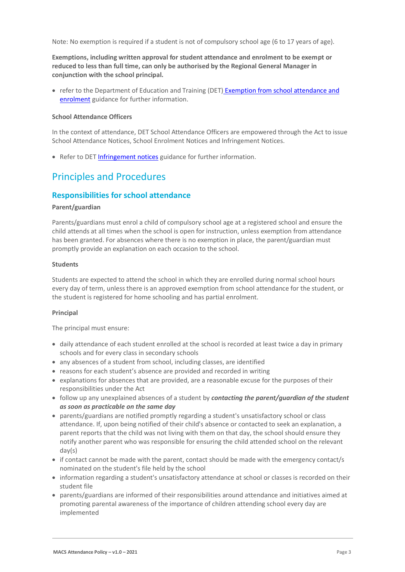Note: No exemption is required if a student is not of compulsory school age (6 to 17 years of age).

**Exemptions, including written approval for student attendance and enrolment to be exempt or reduced to less than full time, can only be authorised by the Regional General Manager in conjunction with the school principal.** 

• refer to the Department of Education and Training (DET) Exemption from school attendance and [enrolment](https://www2.education.vic.gov.au/pal/exemption-school-attendance-and-enrolment/guidance/1-exemption-categories) guidance for further information.

#### **School Attendance Officers**

In the context of attendance, DET School Attendance Officers are empowered through the Act to issue School Attendance Notices, School Enrolment Notices and Infringement Notices.

• Refer to DET [Infringement notices](https://www2.education.vic.gov.au/pal/attendance/guidance/10-infringement-notices) guidance for further information.

### Principles and Procedures

### **Responsibilities for school attendance**

#### **Parent/guardian**

Parents/guardians must enrol a child of compulsory school age at a registered school and ensure the child attends at all times when the school is open for instruction, unless exemption from attendance has been granted. For absences where there is no exemption in place, the parent/guardian must promptly provide an explanation on each occasion to the school.

#### **Students**

Students are expected to attend the school in which they are enrolled during normal school hours every day of term, unless there is an approved exemption from school attendance for the student, or the student is registered for home schooling and has partial enrolment.

#### **Principal**

The principal must ensure:

- daily attendance of each student enrolled at the school is recorded at least twice a day in primary schools and for every class in secondary schools
- any absences of a student from school, including classes, are identified
- reasons for each student's absence are provided and recorded in writing
- explanations for absences that are provided, are a reasonable excuse for the purposes of their responsibilities under the Act
- follow up any unexplained absences of a student by *contacting the parent/guardian of the student as soon as practicable on the same day*
- parents/guardians are notified promptly regarding a student's unsatisfactory school or class attendance. If, upon being notified of their child's absence or contacted to seek an explanation, a parent reports that the child was not living with them on that day, the school should ensure they notify another parent who was responsible for ensuring the child attended school on the relevant day(s)
- if contact cannot be made with the parent, contact should be made with the emergency contact/s nominated on the student's file held by the school
- information regarding a student's unsatisfactory attendance at school or classes is recorded on their student file
- parents/guardians are informed of their responsibilities around attendance and initiatives aimed at promoting parental awareness of the importance of children attending school every day are implemented